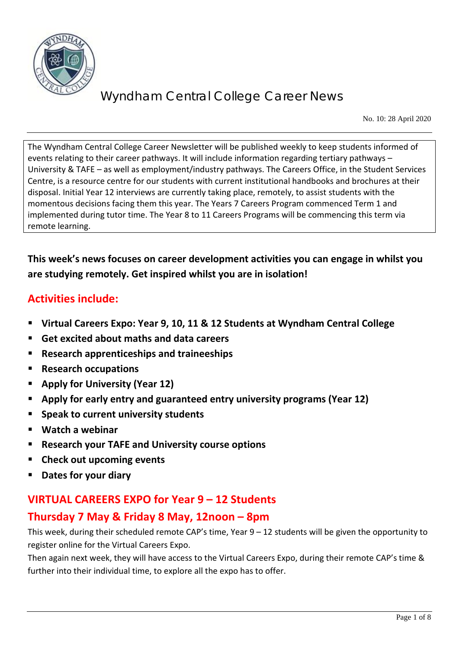

No. 10: 28 April 2020

The Wyndham Central College Career Newsletter will be published weekly to keep students informed of events relating to their career pathways. It will include information regarding tertiary pathways – University & TAFE – as well as employment/industry pathways. The Careers Office, in the Student Services Centre, is a resource centre for our students with current institutional handbooks and brochures at their disposal. Initial Year 12 interviews are currently taking place, remotely, to assist students with the momentous decisions facing them this year. The Years 7 Careers Program commenced Term 1 and implemented during tutor time. The Year 8 to 11 Careers Programs will be commencing this term via remote learning.

## **This week's news focuses on career development activities you can engage in whilst you are studying remotely. Get inspired whilst you are in isolation!**

# **Activities include:**

- **Virtual Careers Expo: Year 9, 10, 11 & 12 Students at Wyndham Central College**
- **Get excited about maths and data careers**
- **Research apprenticeships and traineeships**
- **Research occupations**
- **Apply for University (Year 12)**
- **Apply for early entry and guaranteed entry university programs (Year 12)**
- **Speak to current university students**
- **Watch a webinar**
- **Research your TAFE and University course options**
- **Check out upcoming events**
- **Dates for your diary**

## **VIRTUAL CAREERS EXPO for Year 9 – 12 Students**

## **Thursday 7 May & Friday 8 May, 12noon – 8pm**

This week, during their scheduled remote CAP's time, Year 9 – 12 students will be given the opportunity to register online for the Virtual Careers Expo.

Then again next week, they will have access to the Virtual Careers Expo, during their remote CAP's time & further into their individual time, to explore all the expo has to offer.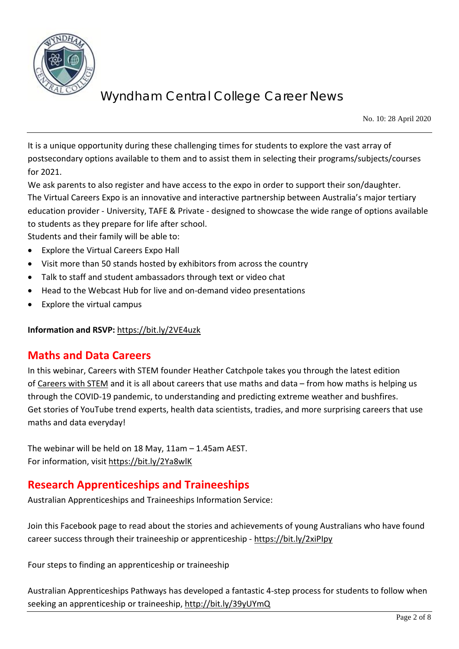

No. 10: 28 April 2020

It is a unique opportunity during these challenging times for students to explore the vast array of postsecondary options available to them and to assist them in selecting their programs/subjects/courses for 2021.

We ask parents to also register and have access to the expo in order to support their son/daughter. The Virtual Careers Expo is an innovative and interactive partnership between Australia's major tertiary education provider - University, TAFE & Private - designed to showcase the wide range of options available to students as they prepare for life after school.

Students and their family will be able to:

- Explore the Virtual Careers Expo Hall
- Visit more than 50 stands hosted by exhibitors from across the country
- Talk to staff and student ambassadors through text or video chat
- Head to the Webcast Hub for live and on-demand video presentations
- Explore the virtual campus

**Information and RSVP:** <https://bit.ly/2VE4uzk>

## **Maths and Data Careers**

In this webinar, Careers with STEM founder Heather Catchpole takes you through the latest edition of [Careers with STEM](http://www.careerswithstem.com.au/) and it is all about careers that use maths and data – from how maths is helping us through the COVID-19 pandemic, to understanding and predicting extreme weather and bushfires. Get stories of YouTube trend experts, health data scientists, tradies, and more surprising careers that use maths and data everyday!

The webinar will be held on 18 May, 11am – 1.45am AEST. For information, visit<https://bit.ly/2Ya8wlK>

## **Research Apprenticeships and Traineeships**

Australian Apprenticeships and Traineeships Information Service:

Join this Facebook page to read about the stories and achievements of young Australians who have found career success through their traineeship or apprenticeship - https://bit.ly/2xiPlpy

Four steps to finding an apprenticeship or traineeship

Australian Apprenticeships Pathways has developed a fantastic 4-step process for students to follow when seeking an apprenticeship or traineeship[, http://bit.ly/39yUYmQ](http://bit.ly/39yUYmQ)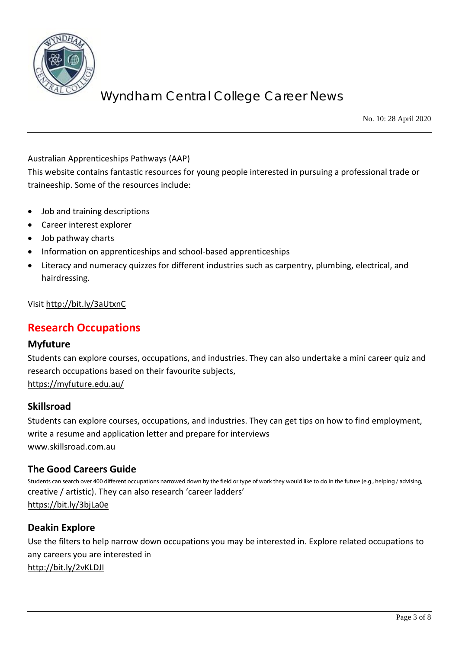

No. 10: 28 April 2020

Australian Apprenticeships Pathways (AAP)

This website contains fantastic resources for young people interested in pursuing a professional trade or traineeship. Some of the resources include:

- Job and training descriptions
- Career interest explorer
- Job pathway charts
- Information on apprenticeships and school-based apprenticeships
- Literacy and numeracy quizzes for different industries such as carpentry, plumbing, electrical, and hairdressing.

Visi[t http://bit.ly/3aUtxnC](http://bit.ly/3aUtxnC)

## **Research Occupations**

#### **Myfuture**

Students can explore courses, occupations, and industries. They can also undertake a mini career quiz and research occupations based on their favourite subjects, <https://myfuture.edu.au/>

#### **Skillsroad**

Students can explore courses, occupations, and industries. They can get tips on how to find employment, write a resume and application letter and prepare for interviews [www.skillsroad.com.au](http://www.skillsroad.com.au/)

#### **The Good Careers Guide**

Students can search over 400 different occupations narrowed down by the field or type of work they would like to do in the future (e.g., helping / advising, creative / artistic). They can also research 'career ladders' <https://bit.ly/3bjLa0e>

#### **Deakin Explore**

Use the filters to help narrow down occupations you may be interested in. Explore related occupations to any careers you are interested in <http://bit.ly/2vKLDJI>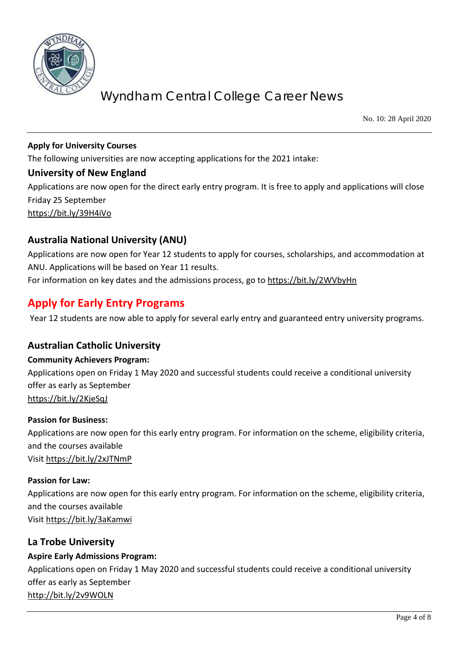

No. 10: 28 April 2020

#### **Apply for University Courses**

The following universities are now accepting applications for the 2021 intake:

#### **University of New England**

Applications are now open for the direct early entry program. It is free to apply and applications will close Friday 25 September

<https://bit.ly/39H4iVo>

### **Australia National University (ANU)**

Applications are now open for Year 12 students to apply for courses, scholarships, and accommodation at ANU. Applications will be based on Year 11 results.

### For information on key dates and the admissions process, go to<https://bit.ly/2WVbyHn>

## **Apply for Early Entry Programs**

Year 12 students are now able to apply for several early entry and guaranteed entry university programs.

#### **Australian Catholic University**

#### **Community Achievers Program:**

Applications open on Friday 1 May 2020 and successful students could receive a conditional university offer as early as September <https://bit.ly/2KjeSqJ>

#### **Passion for Business:**

Applications are now open for this early entry program. For information on the scheme, eligibility criteria, and the courses available Visi[t https://bit.ly/2xJTNmP](https://bit.ly/2xJTNmP)

#### **Passion for Law:**

Applications are now open for this early entry program. For information on the scheme, eligibility criteria, and the courses available Visi[t https://bit.ly/3aKamwi](https://bit.ly/3aKamwi)

#### **La Trobe University**

#### **Aspire Early Admissions Program:**

Applications open on Friday 1 May 2020 and successful students could receive a conditional university offer as early as September <http://bit.ly/2v9WOLN>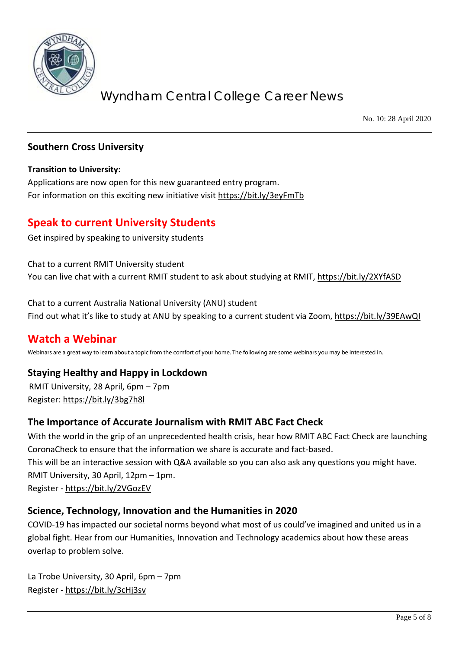

No. 10: 28 April 2020

#### **Southern Cross University**

#### **Transition to University:**

Applications are now open for this new guaranteed entry program. For information on this exciting new initiative visit<https://bit.ly/3eyFmTb>

## **Speak to current University Students**

Get inspired by speaking to university students

Chat to a current RMIT University student You can live chat with a current RMIT student to ask about studying at RMIT,<https://bit.ly/2XYfASD>

Chat to a current Australia National University (ANU) student Find out what it's like to study at ANU by speaking to a current student via Zoom,<https://bit.ly/39EAwQI>

### **Watch a Webinar**

Webinars are a great way to learn about a topic from the comfort of your home. The following are some webinars you may be interested in.

### **Staying Healthy and Happy in Lockdown**

RMIT University, 28 April, 6pm – 7pm Register[: https://bit.ly/3bg7h8l](https://bit.ly/3bg7h8l)

#### **The Importance of Accurate Journalism with RMIT ABC Fact Check**

With the world in the grip of an unprecedented health crisis, hear how RMIT ABC Fact Check are launching CoronaCheck to ensure that the information we share is accurate and fact-based. This will be an interactive session with Q&A available so you can also ask any questions you might have. RMIT University, 30 April, 12pm – 1pm. Register - <https://bit.ly/2VGozEV>

### **Science, Technology, Innovation and the Humanities in 2020**

COVID-19 has impacted our societal norms beyond what most of us could've imagined and united us in a global fight. Hear from our Humanities, Innovation and Technology academics about how these areas overlap to problem solve.

La Trobe University, 30 April, 6pm – 7pm Register - <https://bit.ly/3cHj3sv>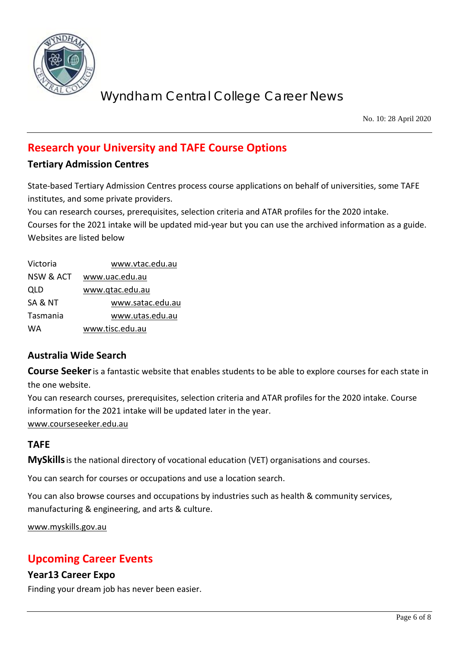

No. 10: 28 April 2020

# **Research your University and TAFE Course Options**

### **Tertiary Admission Centres**

State-based Tertiary Admission Centres process course applications on behalf of universities, some TAFE institutes, and some private providers.

You can research courses, prerequisites, selection criteria and ATAR profiles for the 2020 intake.

Courses for the 2021 intake will be updated mid-year but you can use the archived information as a guide. Websites are listed below

| Victoria  | www.vtac.edu.au  |
|-----------|------------------|
| NSW & ACT | www.uac.edu.au   |
| QLD       | www.qtac.edu.au  |
| SA & NT   | www.satac.edu.au |
| Tasmania  | www.utas.edu.au  |
| <b>WA</b> | www.tisc.edu.au  |

## **Australia Wide Search**

**Course Seeker**is a fantastic website that enables students to be able to explore courses for each state in the one website.

You can research courses, prerequisites, selection criteria and ATAR profiles for the 2020 intake. Course information for the 2021 intake will be updated later in the year.

[www.courseseeker.edu.au](http://www.courseseeker.edu.au/)

## **TAFE**

**MySkills**is the national directory of vocational education (VET) organisations and courses.

You can search for courses or occupations and use a location search.

You can also browse courses and occupations by industries such as health & community services, manufacturing & engineering, and arts & culture.

[www.myskills.gov.au](http://www.myskills.gov.au/)

## **Upcoming Career Events**

### **Year13 Career Expo**

Finding your dream job has never been easier.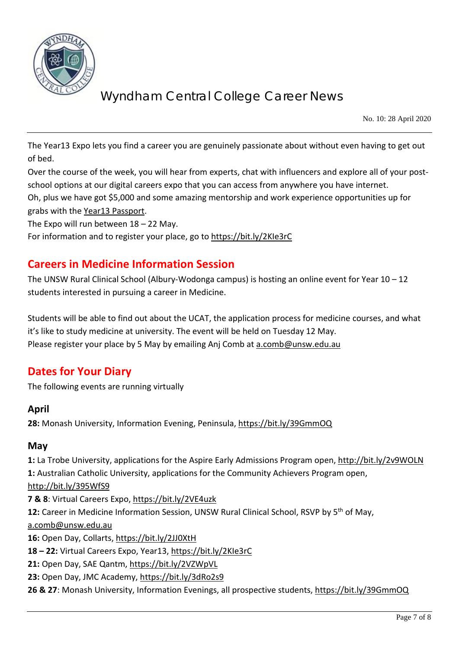

No. 10: 28 April 2020

The Year13 Expo lets you find a career you are genuinely passionate about without even having to get out of bed.

Over the course of the week, you will hear from experts, chat with influencers and explore all of your postschool options at our digital careers expo that you can access from anywhere you have internet. Oh, plus we have got \$5,000 and some amazing mentorship and work experience opportunities up for grabs with the [Year13 Passport.](https://year13.com.au/passport)

The Expo will run between 18 – 22 May.

For information and to register your place, go to<https://bit.ly/2KIe3rC>

## **Careers in Medicine Information Session**

The UNSW Rural Clinical School (Albury-Wodonga campus) is hosting an online event for Year 10 – 12 students interested in pursuing a career in Medicine.

Students will be able to find out about the UCAT, the application process for medicine courses, and what it's like to study medicine at university. The event will be held on Tuesday 12 May. Please register your place by 5 May by emailing Anj Comb at [a.comb@unsw.edu.au](mailto:a.comb@unsw.edu.au)

## **Dates for Your Diary**

The following events are running virtually

#### **April**

**28:** Monash University, Information Evening, Peninsula,<https://bit.ly/39GmmOQ>

#### **May**

**1:** La Trobe University, applications for the Aspire Early Admissions Program open,<http://bit.ly/2v9WOLN> **1:** Australian Catholic University, applications for the Community Achievers Program open, <http://bit.ly/395WfS9> **7 & 8**: Virtual Careers Expo,<https://bit.ly/2VE4uzk>

**12:** Career in Medicine Information Session, UNSW Rural Clinical School, RSVP by 5th of May,

[a.comb@unsw.edu.au](mailto:a.comb@unsw.edu.au)

**16:** Open Day, Collarts,<https://bit.ly/2JJ0XtH>

**18 – 22:** Virtual Careers Expo, Year13,<https://bit.ly/2KIe3rC>

**21:** Open Day, SAE Qantm,<https://bit.ly/2VZWpVL>

23: Open Day, JMC Academy,<https://bit.ly/3dRo2s9>

**26 & 27**: Monash University, Information Evenings, all prospective students,<https://bit.ly/39GmmOQ>